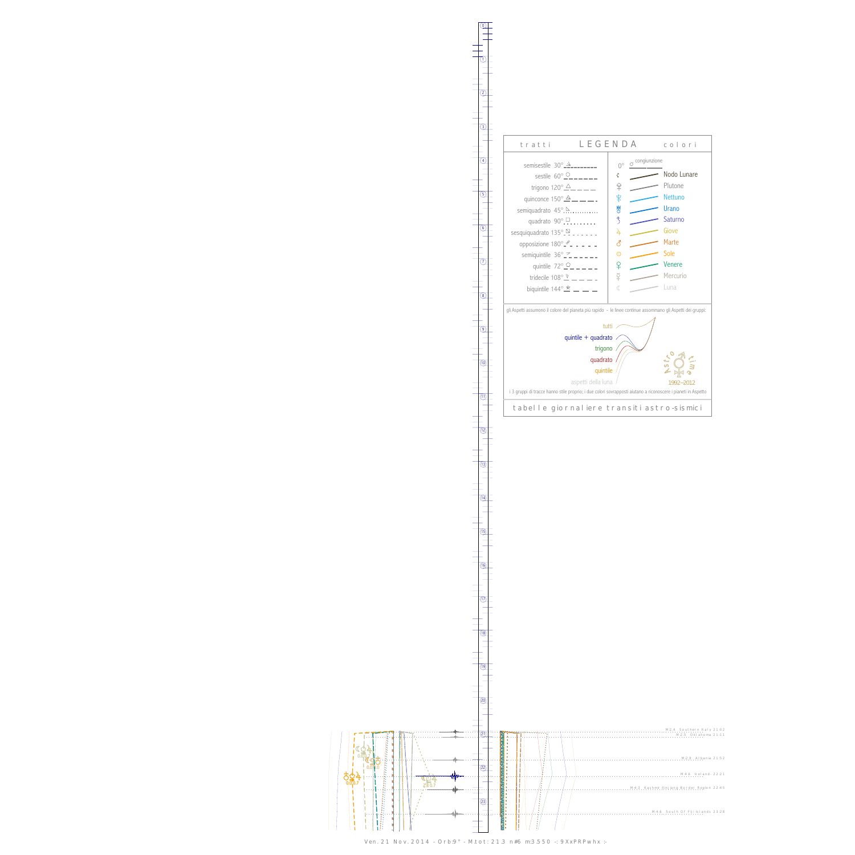ives a set of the contract of the contract of the contract of the contract of the contract of the contract of the contract of the contract of the contract of the contract of the contract of the contract of the contract of